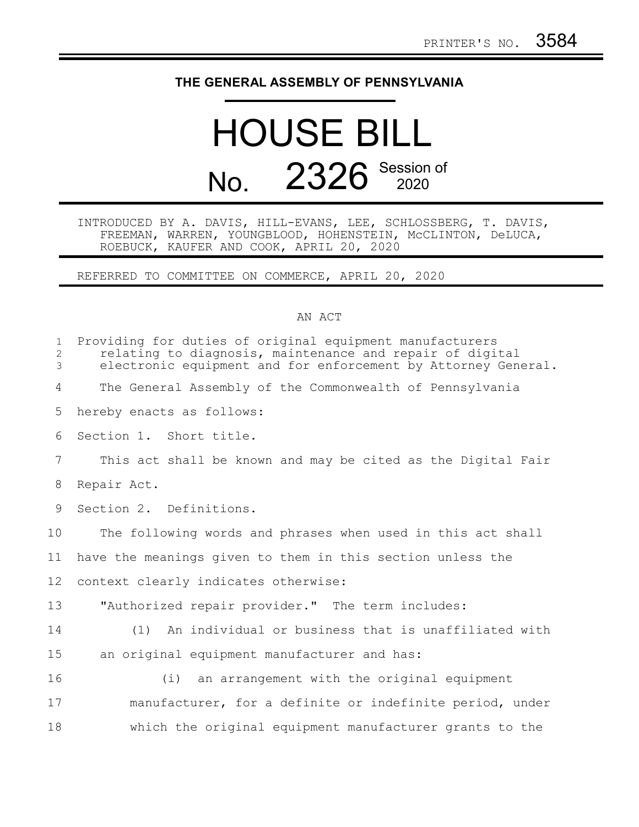## **THE GENERAL ASSEMBLY OF PENNSYLVANIA**

## HOUSE BILL No. 2326 Session of

## INTRODUCED BY A. DAVIS, HILL-EVANS, LEE, SCHLOSSBERG, T. DAVIS, FREEMAN, WARREN, YOUNGBLOOD, HOHENSTEIN, McCLINTON, DeLUCA, ROEBUCK, KAUFER AND COOK, APRIL 20, 2020

REFERRED TO COMMITTEE ON COMMERCE, APRIL 20, 2020

## AN ACT

| $\mathbf{1}$<br>$\overline{c}$<br>3 | Providing for duties of original equipment manufacturers<br>relating to diagnosis, maintenance and repair of digital<br>electronic equipment and for enforcement by Attorney General. |
|-------------------------------------|---------------------------------------------------------------------------------------------------------------------------------------------------------------------------------------|
| 4                                   | The General Assembly of the Commonwealth of Pennsylvania                                                                                                                              |
| 5                                   | hereby enacts as follows:                                                                                                                                                             |
| 6                                   | Section 1. Short title.                                                                                                                                                               |
| $\overline{7}$                      | This act shall be known and may be cited as the Digital Fair                                                                                                                          |
| 8                                   | Repair Act.                                                                                                                                                                           |
| 9                                   | Section 2. Definitions.                                                                                                                                                               |
| 10                                  | The following words and phrases when used in this act shall                                                                                                                           |
| 11                                  | have the meanings given to them in this section unless the                                                                                                                            |
| 12                                  | context clearly indicates otherwise:                                                                                                                                                  |
| 13                                  | "Authorized repair provider." The term includes:                                                                                                                                      |
| 14                                  | An individual or business that is unaffiliated with<br>(1)                                                                                                                            |
| 15                                  | an original equipment manufacturer and has:                                                                                                                                           |
| 16                                  | (i) an arrangement with the original equipment                                                                                                                                        |
| 17                                  | manufacturer, for a definite or indefinite period, under                                                                                                                              |
| 18                                  | which the original equipment manufacturer grants to the                                                                                                                               |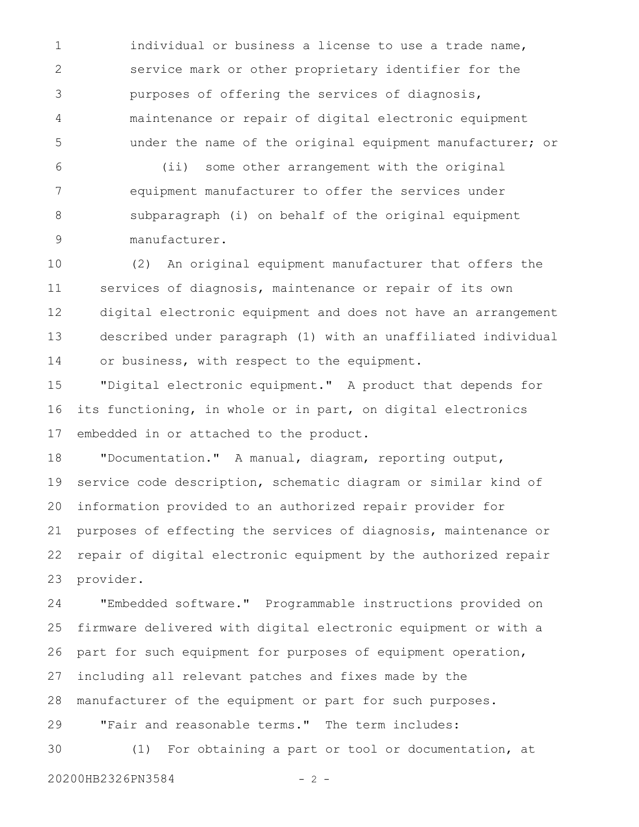individual or business a license to use a trade name, service mark or other proprietary identifier for the purposes of offering the services of diagnosis, maintenance or repair of digital electronic equipment under the name of the original equipment manufacturer; or 1 2 3 4 5

(ii) some other arrangement with the original equipment manufacturer to offer the services under subparagraph (i) on behalf of the original equipment manufacturer. 6 7 8 9

(2) An original equipment manufacturer that offers the services of diagnosis, maintenance or repair of its own digital electronic equipment and does not have an arrangement described under paragraph (1) with an unaffiliated individual or business, with respect to the equipment. 10 11 12 13 14

"Digital electronic equipment." A product that depends for its functioning, in whole or in part, on digital electronics embedded in or attached to the product. 15 16 17

"Documentation." A manual, diagram, reporting output, service code description, schematic diagram or similar kind of information provided to an authorized repair provider for purposes of effecting the services of diagnosis, maintenance or repair of digital electronic equipment by the authorized repair provider. 18 19 20 21 22 23

"Embedded software." Programmable instructions provided on firmware delivered with digital electronic equipment or with a part for such equipment for purposes of equipment operation, including all relevant patches and fixes made by the manufacturer of the equipment or part for such purposes. "Fair and reasonable terms." The term includes: (1) For obtaining a part or tool or documentation, at 24 25 26 27 28 29 30

20200HB2326PN3584 - 2 -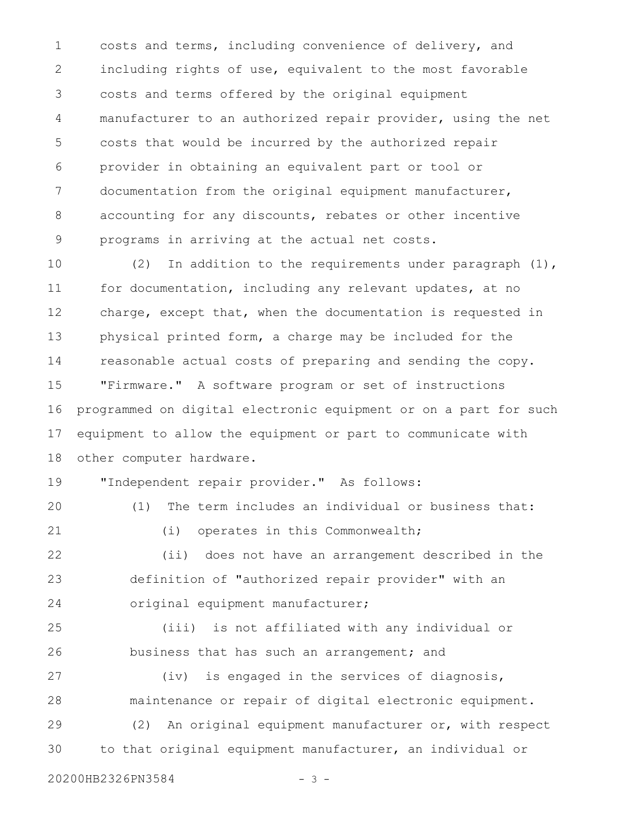costs and terms, including convenience of delivery, and including rights of use, equivalent to the most favorable costs and terms offered by the original equipment manufacturer to an authorized repair provider, using the net costs that would be incurred by the authorized repair provider in obtaining an equivalent part or tool or documentation from the original equipment manufacturer, accounting for any discounts, rebates or other incentive programs in arriving at the actual net costs. 1 2 3 4 5 6 7 8 9

(2) In addition to the requirements under paragraph (1), for documentation, including any relevant updates, at no charge, except that, when the documentation is requested in physical printed form, a charge may be included for the reasonable actual costs of preparing and sending the copy. "Firmware." A software program or set of instructions programmed on digital electronic equipment or on a part for such equipment to allow the equipment or part to communicate with other computer hardware. 10 11 12 13 14 15 16 17 18

"Independent repair provider." As follows: 19

(1) The term includes an individual or business that: (i) operates in this Commonwealth; (ii) does not have an arrangement described in the definition of "authorized repair provider" with an original equipment manufacturer; (iii) is not affiliated with any individual or business that has such an arrangement; and (iv) is engaged in the services of diagnosis, maintenance or repair of digital electronic equipment. (2) An original equipment manufacturer or, with respect to that original equipment manufacturer, an individual or 20 21 22 23 24 25 26 27 28 29 30

20200HB2326PN3584 - 3 -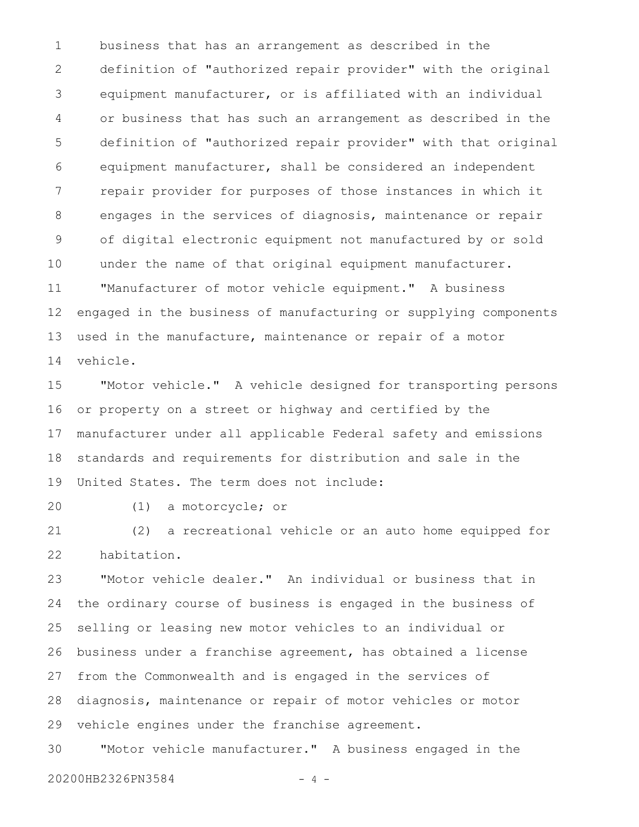business that has an arrangement as described in the definition of "authorized repair provider" with the original equipment manufacturer, or is affiliated with an individual or business that has such an arrangement as described in the definition of "authorized repair provider" with that original equipment manufacturer, shall be considered an independent repair provider for purposes of those instances in which it engages in the services of diagnosis, maintenance or repair of digital electronic equipment not manufactured by or sold under the name of that original equipment manufacturer. "Manufacturer of motor vehicle equipment." A business engaged in the business of manufacturing or supplying components used in the manufacture, maintenance or repair of a motor vehicle. 1 2 3 4 5 6 7 8 9 10 11 12 13 14

"Motor vehicle." A vehicle designed for transporting persons or property on a street or highway and certified by the manufacturer under all applicable Federal safety and emissions standards and requirements for distribution and sale in the United States. The term does not include: 15 16 17 18 19

20

(1) a motorcycle; or

(2) a recreational vehicle or an auto home equipped for habitation. 21 22

"Motor vehicle dealer." An individual or business that in the ordinary course of business is engaged in the business of selling or leasing new motor vehicles to an individual or business under a franchise agreement, has obtained a license from the Commonwealth and is engaged in the services of diagnosis, maintenance or repair of motor vehicles or motor vehicle engines under the franchise agreement. 23 24 25 26 27 28 29

"Motor vehicle manufacturer." A business engaged in the 20200HB2326PN3584 - 4 -30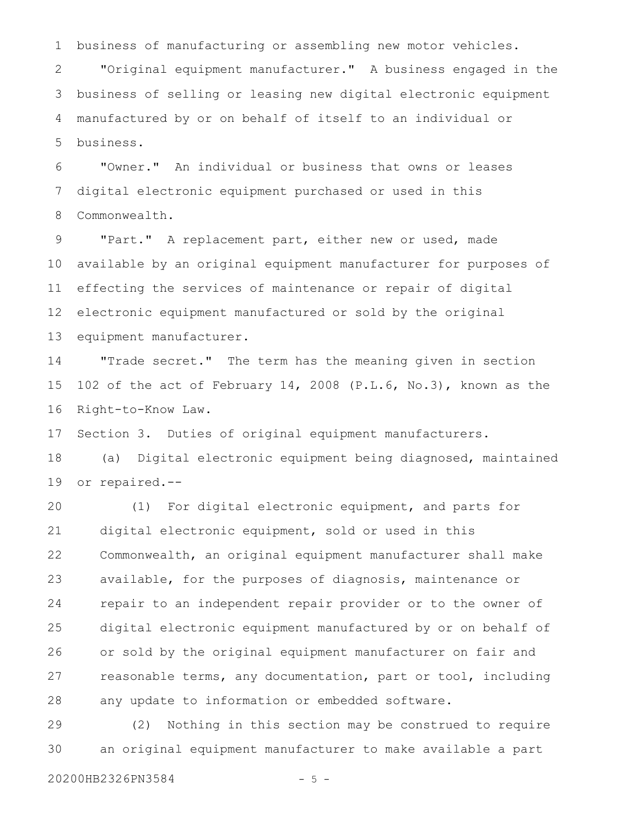business of manufacturing or assembling new motor vehicles. 1

"Original equipment manufacturer." A business engaged in the business of selling or leasing new digital electronic equipment manufactured by or on behalf of itself to an individual or business. 2 3 4 5

"Owner." An individual or business that owns or leases digital electronic equipment purchased or used in this Commonwealth. 6 7 8

"Part." A replacement part, either new or used, made available by an original equipment manufacturer for purposes of effecting the services of maintenance or repair of digital electronic equipment manufactured or sold by the original equipment manufacturer. 9 10 11 12 13

"Trade secret." The term has the meaning given in section 102 of the act of February 14, 2008 (P.L.6, No.3), known as the Right-to-Know Law. 14 15 16

Section 3. Duties of original equipment manufacturers. 17

(a) Digital electronic equipment being diagnosed, maintained or repaired.-- 18 19

(1) For digital electronic equipment, and parts for digital electronic equipment, sold or used in this Commonwealth, an original equipment manufacturer shall make available, for the purposes of diagnosis, maintenance or repair to an independent repair provider or to the owner of digital electronic equipment manufactured by or on behalf of or sold by the original equipment manufacturer on fair and reasonable terms, any documentation, part or tool, including any update to information or embedded software. 20 21 22 23 24 25 26 27 28

(2) Nothing in this section may be construed to require an original equipment manufacturer to make available a part 29 30

20200HB2326PN3584 - 5 -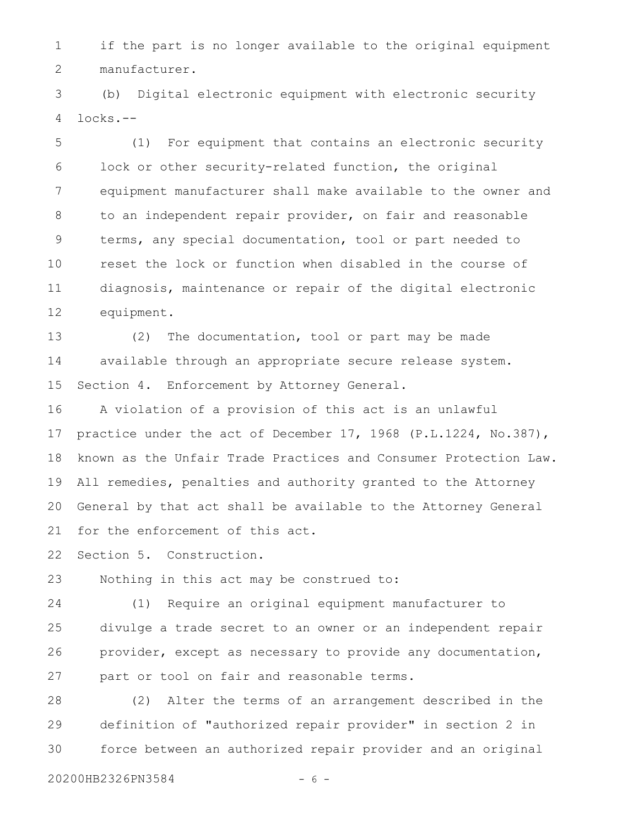if the part is no longer available to the original equipment manufacturer. 1 2

(b) Digital electronic equipment with electronic security locks.-- 3 4

(1) For equipment that contains an electronic security lock or other security-related function, the original equipment manufacturer shall make available to the owner and to an independent repair provider, on fair and reasonable terms, any special documentation, tool or part needed to reset the lock or function when disabled in the course of diagnosis, maintenance or repair of the digital electronic equipment. 5 6 7 8 9 10 11 12

(2) The documentation, tool or part may be made available through an appropriate secure release system. Section 4. Enforcement by Attorney General. 13 14 15

A violation of a provision of this act is an unlawful practice under the act of December 17, 1968 (P.L.1224, No.387), known as the Unfair Trade Practices and Consumer Protection Law. All remedies, penalties and authority granted to the Attorney General by that act shall be available to the Attorney General for the enforcement of this act. 16 17 18 19 20 21

Section 5. Construction. 22

Nothing in this act may be construed to: 23

(1) Require an original equipment manufacturer to divulge a trade secret to an owner or an independent repair provider, except as necessary to provide any documentation, part or tool on fair and reasonable terms. 24 25 26 27

(2) Alter the terms of an arrangement described in the definition of "authorized repair provider" in section 2 in force between an authorized repair provider and an original 28 29 30

20200HB2326PN3584 - 6 -